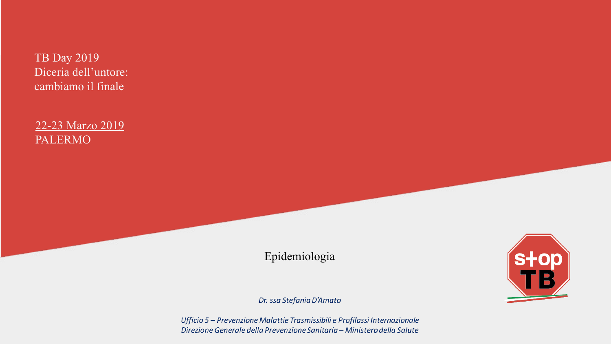TB Day 2019 Diceria dell'untore: cambiamo il finale

22-23 Marzo 2019 PALERMO

Epidemiologia

Dr. ssa Stefania D'Amato

Ufficio 5 - Prevenzione Malattie Trasmissibili e Profilassi Internazionale Direzione Generale della Prevenzione Sanitaria - Ministero della Salute

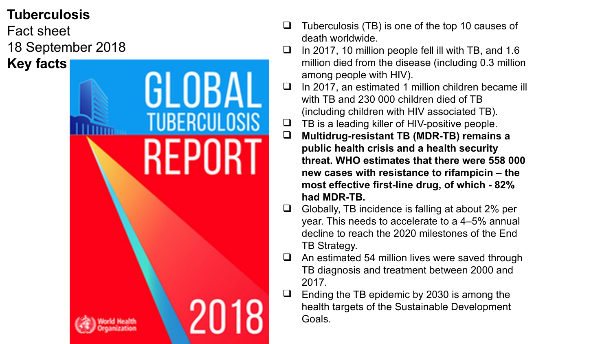#### **Tuberculosis**

Fact sheet 18 September 2018 **Key facts**

GLOBA **TUBERCULOSIS** 

- Tuberculosis (TB) is one of the top 10 causes of death worldwide.
- $\Box$  In 2017, 10 million people fell ill with TB, and 1.6 million died from the disease (including 0.3 million among people with HIV).
- In 2017, an estimated 1 million children became ill with TB and 230,000 children died of TB (including children with HIV associated TB).
- $\Box$  TB is a leading killer of HIV-positive people.
- **Multidrug-resistant TB (MDR-TB) remains a public health crisis and a health security threat. WHO estimates that there were 558 000 new cases with resistance to rifampicin – the most effective first-line drug, of which - 82% had MDR-TB.**
- Globally, TB incidence is falling at about 2% per year. This needs to accelerate to a 4–5% annual decline to reach the 2020 milestones of the End TB Strategy.
- An estimated 54 million lives were saved through TB diagnosis and treatment between 2000 and 2017.
- Ending the TB epidemic by 2030 is among the health targets of the Sustainable Development Goals.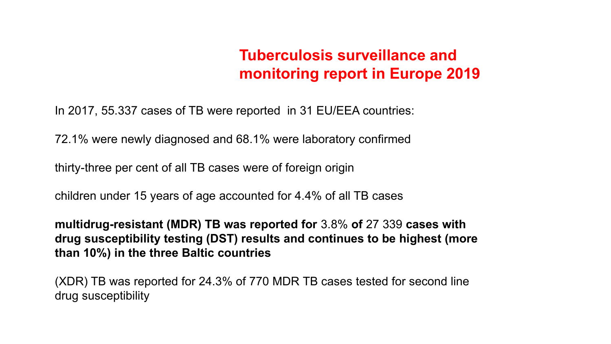### **Tuberculosis surveillance and monitoring report in Europe 2019**

In 2017, 55.337 cases of TB were reported in 31 EU/EEA countries:

72.1% were newly diagnosed and 68.1% were laboratory confirmed

thirty-three per cent of all TB cases were of foreign origin

children under 15 years of age accounted for 4.4% of all TB cases

**multidrug-resistant (MDR) TB was reported for** 3.8% **of** 27 339 **cases with drug susceptibility testing (DST) results and continues to be highest (more than 10%) in the three Baltic countries**

(XDR) TB was reported for 24.3% of 770 MDR TB cases tested for second line drug susceptibility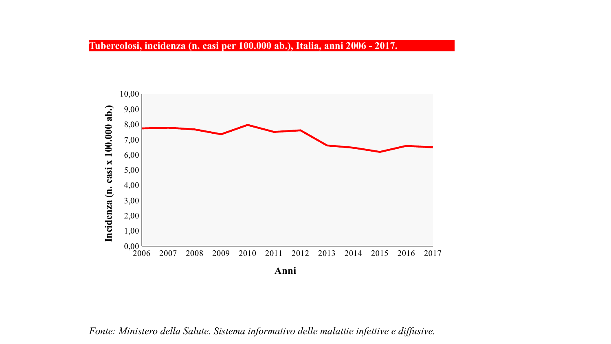

*Fonte: Ministero della Salute. Sistema informativo delle malattie infettive e diffusive.*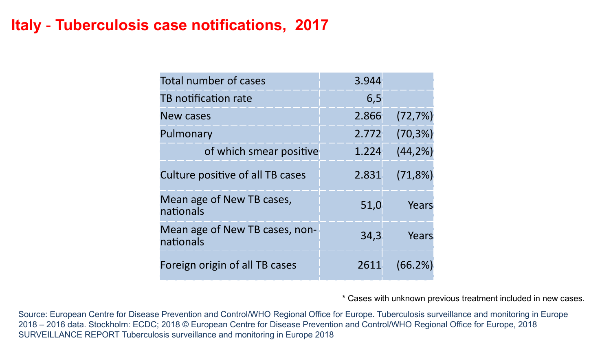#### **Italy** - **Tuberculosis case notifications, 2017**

| <b>Total number of cases</b>                | 3.944 |              |
|---------------------------------------------|-------|--------------|
| TB notification rate                        | 6,5   |              |
| <b>New cases</b>                            | 2.866 | $(72, 7\%)$  |
| Pulmonary                                   | 2.772 | $(70, 3\%)$  |
| of which smear positive                     | 1.224 | (44, 2%)     |
| Culture positive of all TB cases            | 2.831 | (71,8%)      |
| Mean age of New TB cases,<br>nationals      | 51,0  | Years        |
| Mean age of New TB cases, non-<br>nationals | 34,3  | <b>Years</b> |
| Foreign origin of all TB cases              | 2611  | (66.2%)      |

\* Cases with unknown previous treatment included in new cases.

Source: European Centre for Disease Prevention and Control/WHO Regional Office for Europe. Tuberculosis surveillance and monitoring in Europe 2018 – 2016 data. Stockholm: ECDC; 2018 © European Centre for Disease Prevention and Control/WHO Regional Office for Europe, 2018 SURVEILLANCE REPORT Tuberculosis surveillance and monitoring in Europe 2018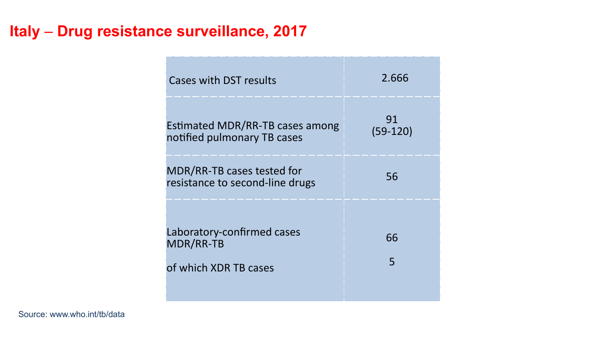### **Italy** – **Drug resistance surveillance, 2017**

| Cases with DST results                                                  | 2.666            |
|-------------------------------------------------------------------------|------------------|
| Estimated MDR/RR-TB cases among<br>notified pulmonary TB cases          | 91<br>$(59-120)$ |
| MDR/RR-TB cases tested for<br>resistance to second-line drugs           | 56               |
| Laboratory-confirmed cases<br><b>MDR/RR-TB</b><br>of which XDR TB cases | 66<br>5          |

Source: www.who.int/tb/data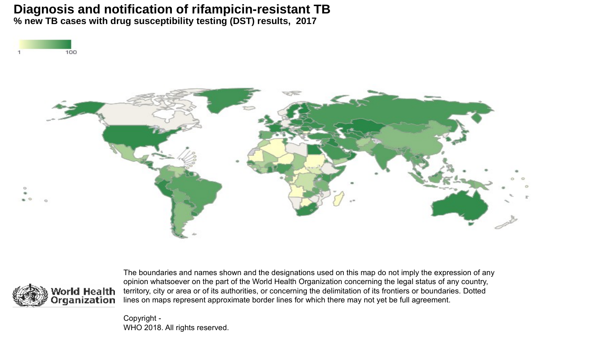#### **% new TB cases with drug susceptibility testing (DST) results, 2017 Diagnosis and notification of rifampicin-resistant TB**







The boundaries and names shown and the designations used on this map do not imply the expression of any opinion whatsoever on the part of the World Health Organization concerning the legal status of any country, territory, city or area or of its authorities, or concerning the delimitation of its frontiers or boundaries. Dotted lines on maps represent approximate border lines for which there may not yet be full agreement.

Copyright - WHO 2018. All rights reserved.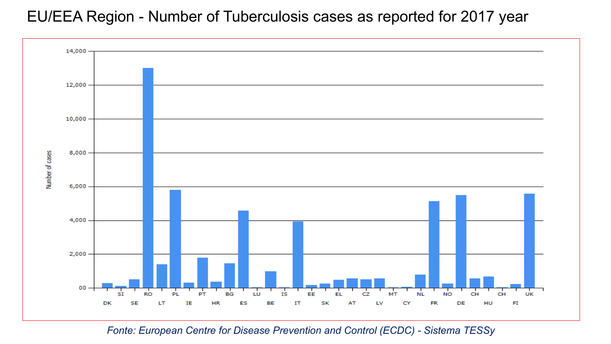#### EU/EEA Region - Number of Tuberculosis cases as reported for 2017 year



*Fonte: European Centre for Disease Prevention and Control (ECDC) - Sistema TESSy*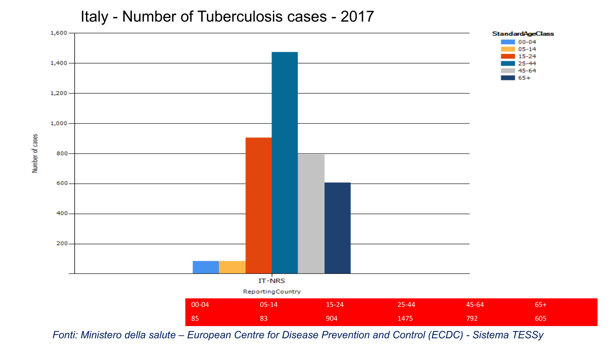#### Italy - Number of Tuberculosis cases - 2017



*Fonti: Ministero della salute – European Centre for Disease Prevention and Control (ECDC) - Sistema TESSy*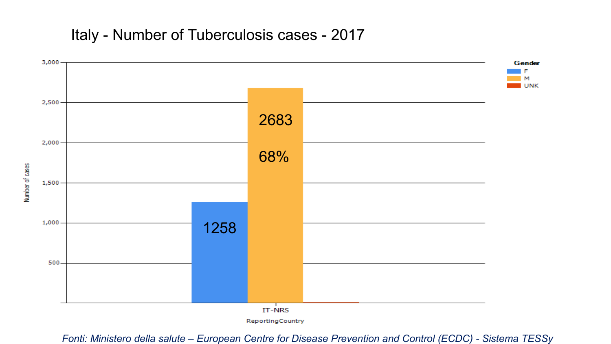Italy - Number of Tuberculosis cases - 2017



ReportingCountry

*Fonti: Ministero della salute – European Centre for Disease Prevention and Control (ECDC) - Sistema TESSy*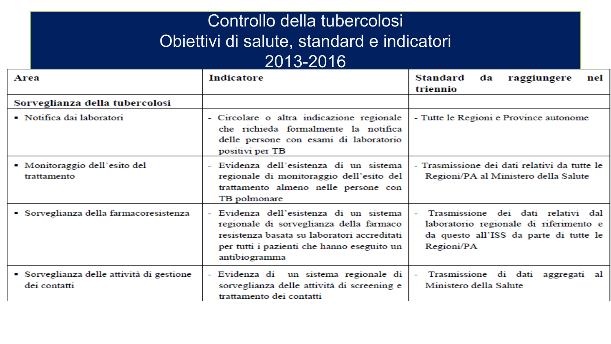## Controllo della tubercolosi Controllo della tubercolosi Obiettivi di salute, standard e indicatori Obiettivi di salute, standard e indicatori 2013-2016 2013-2016

| Area                                                      | Indicatore                                                                                                                                                                                       | Standard<br>da<br>raggiungere<br>nel<br>triennio                                                                                     |
|-----------------------------------------------------------|--------------------------------------------------------------------------------------------------------------------------------------------------------------------------------------------------|--------------------------------------------------------------------------------------------------------------------------------------|
| Sorveglianza della tubercolosi                            |                                                                                                                                                                                                  |                                                                                                                                      |
| • Notifica dai laboratori                                 | - Circolare o altra indicazione regionale<br>che richieda formalmente la notifica<br>delle persone con esami di laboratorio<br>positivi per TB                                                   | - Tutte le Regioni e Province autonome                                                                                               |
| • Monitoraggio dell'esito del<br>trattamento              | - Evidenza dell'esistenza di un sistema<br>regionale di monitoraggio dell'esito del<br>trattamento almeno nelle persone con<br>TB polmonare                                                      | - Trasmissione dei dati relativi da tutte le<br>Regioni/PA al Ministero della Salute                                                 |
| Sorveglianza della farmacoresistenza                      | - Evidenza dell'esistenza di un sistema<br>regionale di sorveglianza della farmaco<br>resistenza basata su laboratori accreditati<br>per tutti i pazienti che hanno eseguito un<br>antibiogramma | Trasmissione dei dati relativi dal<br>laboratorio regionale di riferimento e<br>da questo all'ISS da parte di tutte le<br>Regioni/PA |
| · Sorveglianza delle attività di gestione<br>dei contatti | - Evidenza di un sistema regionale di<br>sorveglianza delle attività di screening e<br>trattamento dei contatti                                                                                  | Trasmissione di dati aggregati al<br>Ministero della Salute                                                                          |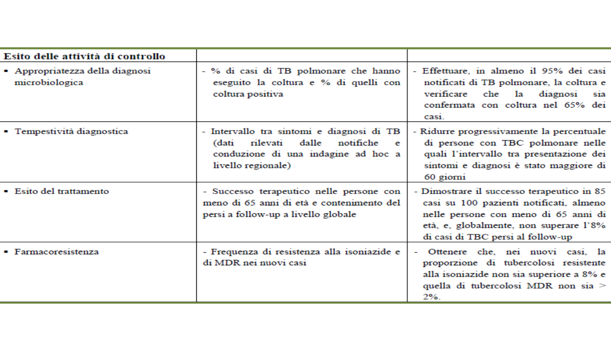| Esito delle attività di controllo                 |                                                                                                                                                        |                                                                                                                                                                                                              |
|---------------------------------------------------|--------------------------------------------------------------------------------------------------------------------------------------------------------|--------------------------------------------------------------------------------------------------------------------------------------------------------------------------------------------------------------|
| - Appropriatezza della diagnosi<br>microbiologica | - % di casi di TB polmonare che hanno<br>eseguito la coltura e % di quelli con<br>coltura positiva                                                     | - Effettuare, in almeno il 95% dei casi<br>notificati di TB polmonare, la coltura e<br>verificare<br>che<br>la diagnosi<br>sıa.<br>confermata con coltura nel 65% dei<br>cas <sub>1</sub>                    |
| • Tempestività diagnostica                        | - Intervallo tra sintomi e diagnosi di TB<br>rilevati<br>dalle<br>notifiche<br>(dati<br>e<br>conduzione di una indagine ad hoc a<br>livello regionale) | - Ridurre progressivamente la percentuale<br>di persone con TBC polmonare nelle<br>quali l'intervallo tra presentazione dei<br>sintomi e diagnosi è stato maggiore di<br>60 giorni                           |
| • Esito del trattamento                           | - Successo terapeutico nelle persone con<br>meno di 65 anni di età e contenimento del<br>persi a follow-up a livello globale                           | - Dimostrare il successo terapeutico in 85<br>casi su 100 pazienti notificati, almeno<br>nelle persone con meno di 65 anni di<br>età, e, globalmente, non superare l'8%<br>di casi di TBC persi al follow-up |
| $\blacksquare$ Farmacoresistenza                  | - Frequenza di resistenza alla isoniazide e<br>di MDR nei nuovi casi                                                                                   | Ottenere che, nei nuovi casi, la<br>proporzione di tubercolosi resistente<br>alla isoniazide non sia superiore a 8% e<br>quella di tubercolosi MDR non sia ><br>$2\%$ .                                      |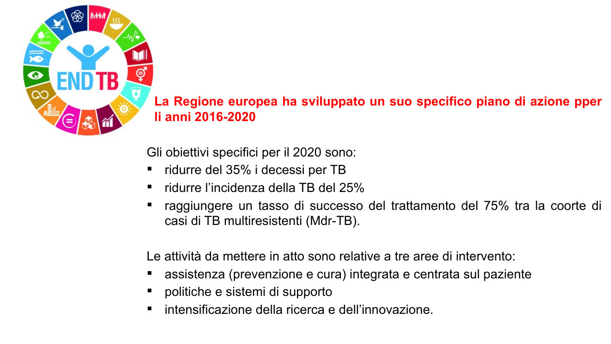

**LLa Regione europea ha sviluppato un suo specifico piano di azione pper gli anni 2016-2020**

Gli obiettivi specifici per il 2020 sono:

- ridurre del 35% i decessi per TB
- ridurre l'incidenza della TB del 25%
- raggiungere un tasso di successo del trattamento del 75% tra la coorte di casi di TB multiresistenti (Mdr-TB).

Le attività da mettere in atto sono relative a tre aree di intervento:

- assistenza (prevenzione e cura) integrata e centrata sul paziente
- politiche e sistemi di supporto
- intensificazione della ricerca e dell'innovazione.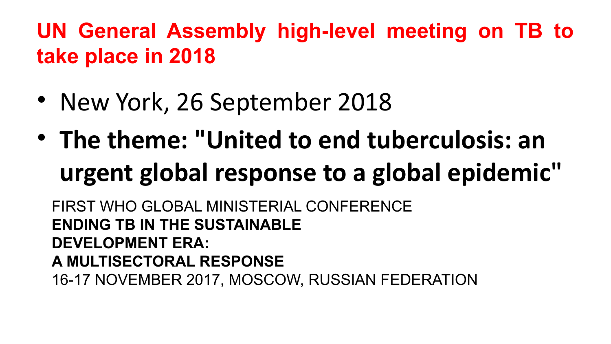# **UN General Assembly high-level meeting on TB to take place in 2018**

- New York, 26 September 2018
- **The theme: "United to end tuberculosis: an urgent global response to a global epidemic"**

FIRST WHO GLOBAL MINISTERIAL CONFERENCE **ENDING TB IN THE SUSTAINABLE DEVELOPMENT ERA: A MULTISECTORAL RESPONSE** 16-17 NOVEMBER 2017, MOSCOW, RUSSIAN FEDERATION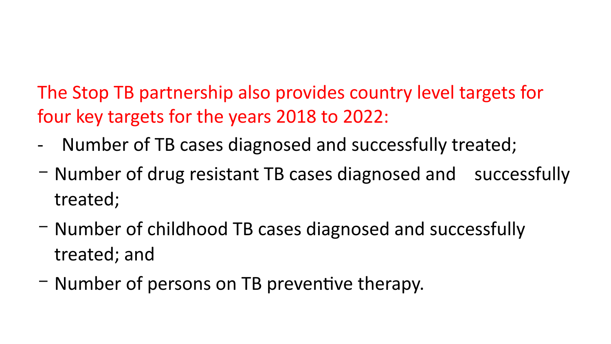The Stop TB partnership also provides country level targets for four key targets for the years 2018 to 2022:

- Number of TB cases diagnosed and successfully treated;
- Number of drug resistant TB cases diagnosed and successfully treated;
- Number of childhood TB cases diagnosed and successfully treated; and
- Number of persons on TB preventive therapy.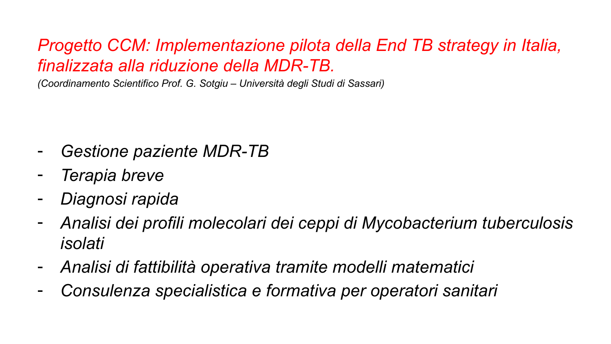### *Progetto CCM: Implementazione pilota della End TB strategy in Italia, finalizzata alla riduzione della MDR-TB.*

*(Coordinamento Scientifico Prof. G. Sotgiu – Università degli Studi di Sassari)*

- *Gestione paziente MDR-TB*
- *Terapia breve*
- *Diagnosi rapida*
- *Analisi dei profili molecolari dei ceppi di Mycobacterium tuberculosis isolati*
- *Analisi di fattibilità operativa tramite modelli matematici*
- *Consulenza specialistica e formativa per operatori sanitari*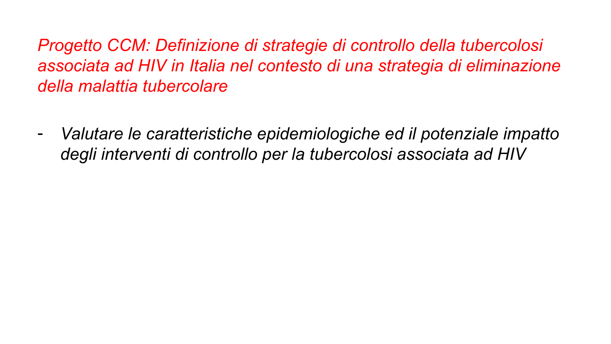*Progetto CCM: Definizione di strategie di controllo della tubercolosi associata ad HIV in Italia nel contesto di una strategia di eliminazione della malattia tubercolare*

- *Valutare le caratteristiche epidemiologiche ed il potenziale impatto degli interventi di controllo per la tubercolosi associata ad HIV*